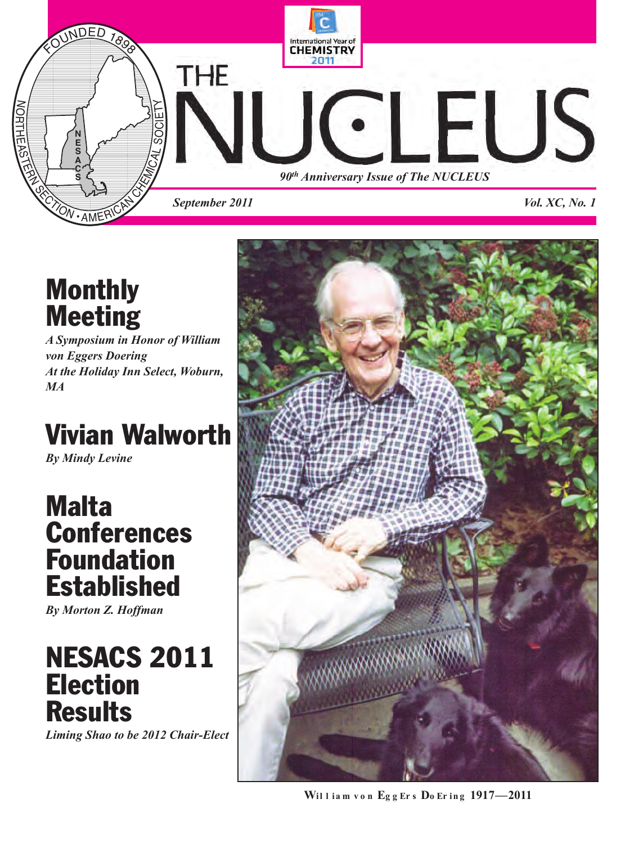

## **Monthly Meeting**

*A Symposium in Honor of William von Eggers Doering At the Holiday Inn Select, Woburn, MA*

## **Vivian Walworth**

*By Mindy Levine*

## **Malta Conferences Foundation Established**

*By Morton Z. Hoffman*

## **NESACS 2011 Election Results**

*Liming Shao to be 2012 Chair-Elect*



**Wil l ia m v o n Eg g Er s Do Er in g 1917—2011**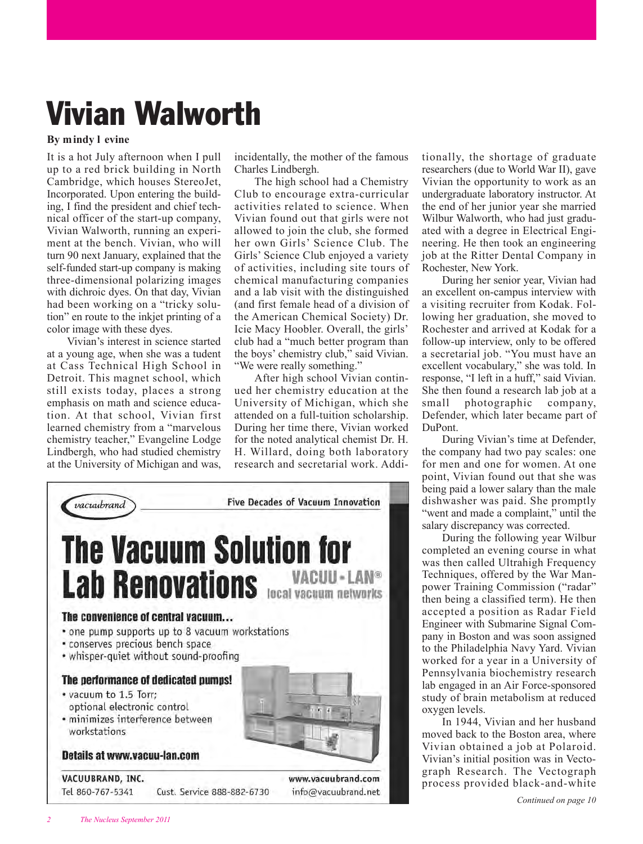## **Vivian Walworth**

### **By mindy l evine**

It is a hot July afternoon when I pull up to a red brick building in North Cambridge, which houses StereoJet, Incorporated. Upon entering the building, I find the president and chief technical officer of the start-up company, Vivian Walworth, running an experiment at the bench. Vivian, who will turn 90 next January, explained that the self-funded start-up company is making three-dimensional polarizing images with dichroic dyes. On that day, Vivian had been working on a "tricky solution" en route to the inkjet printing of a color image with these dyes.

Vivian's interest in science started at a young age, when she was a tudent at Cass Technical High School in Detroit. This magnet school, which still exists today, places a strong emphasis on math and science education. At that school, Vivian first learned chemistry from a "marvelous chemistry teacher," Evangeline Lodge Lindbergh, who had studied chemistry at the University of Michigan and was,

incidentally, the mother of the famous Charles Lindbergh.

The high school had a Chemistry Club to encourage extra-curricular activities related to science. When Vivian found out that girls were not allowed to join the club, she formed her own Girls' Science Club. The Girls' Science Club enjoyed a variety of activities, including site tours of chemical manufacturing companies and a lab visit with the distinguished (and first female head of a division of the American Chemical Society) Dr. Icie Macy Hoobler. Overall, the girls' club had a "much better program than the boys' chemistry club," said Vivian. "We were really something."

After high school Vivian continued her chemistry education at the University of Michigan, which she attended on a full-tuition scholarship. During her time there, Vivian worked for the noted analytical chemist Dr. H. H. Willard, doing both laboratory research and secretarial work. Addi-



tionally, the shortage of graduate researchers (due to World War II), gave Vivian the opportunity to work as an undergraduate laboratory instructor. At the end of her junior year she married Wilbur Walworth, who had just graduated with a degree in Electrical Engineering. He then took an engineering job at the Ritter Dental Company in Rochester, New York.

During her senior year, Vivian had an excellent on-campus interview with a visiting recruiter from Kodak. Following her graduation, she moved to Rochester and arrived at Kodak for a follow-up interview, only to be offered a secretarial job. "You must have an excellent vocabulary," she was told. In response, "I left in a huff," said Vivian. She then found a research lab job at a small photographic company, Defender, which later became part of DuPont.

During Vivian's time at Defender, the company had two pay scales: one for men and one for women. At one point, Vivian found out that she was being paid a lower salary than the male dishwasher was paid. She promptly "went and made a complaint," until the salary discrepancy was corrected.

During the following year Wilbur completed an evening course in what was then called Ultrahigh Frequency Techniques, offered by the War Manpower Training Commission ("radar" then being a classified term). He then accepted a position as Radar Field Engineer with Submarine Signal Company in Boston and was soon assigned to the Philadelphia Navy Yard. Vivian worked for a year in a University of Pennsylvania biochemistry research lab engaged in an Air Force-sponsored study of brain metabolism at reduced oxygen levels.

In 1944, Vivian and her husband moved back to the Boston area, where Vivian obtained a job at Polaroid. Vivian's initial position was in Vectograph Research. The Vectograph process provided black-and-white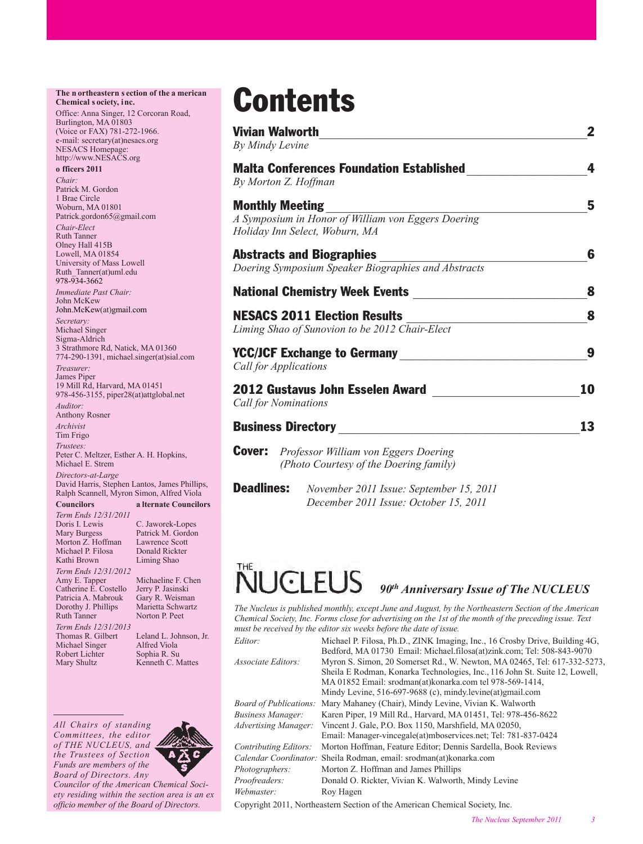#### **The n ortheastern s ection of the a merican Chemical s ociety, inc.**

Office: Anna Singer, 12 Corcoran Road, Burlington, MA 01803 (Voice or FAX) 781-272-1966. e-mail: secretary(at)nesacs.org NESACS Homepage: http://www.NESACS.org

#### **o fficers 2011**

*Chair:* Patrick M. Gordon 1 Brae Circle Woburn, MA 01801 Patrick.gordon65@gmail.com *Chair-Elect* Ruth Tanner Olney Hall 415B Lowell, MA 01854 University of Mass Lowell Ruth\_Tanner(at)uml.edu 978-934-3662 *Immediate Past Chair:* John McKew John.McKew(at)gmail.com *Secretary:* Michael Singer Sigma-Aldrich 3 Strathmore Rd, Natick, MA 01360 774-290-1391, michael.singer(at)sial.com *Treasurer:* James Piper 19 Mill Rd, Harvard, MA 01451 978-456-3155, piper28(at)attglobal.net *Auditor:* Anthony Rosner *Archivist* Tim Frigo *Trustees:* Peter C. Meltzer, Esther A. H. Hopkins, Michael E. Strem *Directors-at-Large* David Harris, Stephen Lantos, James Phillips, Ralph Scannell, Myron Simon, Alfred Viola

**Councilors a lternate Councilors**

*Term Ends 12/31/2011* Morton Z. Hoffman Lawrence Scott<br>Michael P. Filosa Donald Rickter Michael P. Filosa Donald Rickt<br>Kathi Brown Liming Shao Kathi Brown

*Term Ends 12/31/2012* Catherine E. Costello Jerry P. Jasinski Patricia A. Mabrouk Gary R. Weisman<br>Dorothy J. Phillips Marietta Schwartz Dorothy J. Phillips<br>Ruth Tanner *Term Ends 12/31/2013* Michael Singer Robert Lichter Sophia R. Su<br>Mary Shultz Kenneth C. N

C. Jaworek-Lopes Mary Burgess Patrick M. Gordon<br>Morton Z. Hoffman Lawrence Scott Michaeline F. Chen<br>Jerry P. Jasinski Norton P. Peet

Leland L. Johnson, Jr.<br>Alfred Viola Kenneth C. Mattes

*All Chairs of standing Committees, the editor of THE NUCLEUS, and the Trustees of Section Funds are members of the Board of Directors. Any*



*Coun cilor of the American Chemical Society residing within the section area is an ex officio member of the Board of Directors.*

## **Contents**

| By Mindy Levine                                                 | <b>Vivian Walworth</b>                                                                                         | 2  |
|-----------------------------------------------------------------|----------------------------------------------------------------------------------------------------------------|----|
|                                                                 | <b>Malta Conferences Foundation Established</b><br>By Morton Z. Hoffman                                        | 4  |
|                                                                 | <b>Monthly Meeting</b><br>A Symposium in Honor of William von Eggers Doering<br>Holiday Inn Select, Woburn, MA | 5  |
|                                                                 | <b>Abstracts and Biographies</b><br>Doering Symposium Speaker Biographies and Abstracts                        | 6  |
| <b>National Chemistry Week Events</b>                           |                                                                                                                | 8  |
|                                                                 | <b>NESACS 2011 Election Results</b><br>Liming Shao of Sunovion to be 2012 Chair-Elect                          | 8  |
|                                                                 | <b>YCC/JCF Exchange to Germany</b><br>Call for Applications                                                    | 9  |
| 2012 Gustavus John Esselen Award<br><b>Call for Nominations</b> |                                                                                                                | 10 |
| <b>Business Directory</b>                                       |                                                                                                                | 13 |
| <b>Cover:</b>                                                   | Professor William von Eggers Doering<br>(Photo Courtesy of the Doering family)                                 |    |

**Deadlines:** *November 2011 Issue: September 15, 2011 December 2011 Issue: October 15, 2011*

## FU.  $\left[ \cdot \right]$

## *90th Anniversary Issue of The NUCLEUS*

Bedford, MA 01730 Email: Michael.filosa(at)zink.com; Tel: 508-843-9070

*The Nucleus is published monthly, except June and August, by the Northeastern Section of the American Chemical Society, Inc. Forms close for advertising on the 1st of the month of the preceding issue. Text must be received by the editor six weeks before the date of issue.*

*Editor:* Michael P. Filosa, Ph.D., ZINK Imaging, Inc., 16 Crosby Drive, Building 4G,

*Associate Editors:* Myron S. Simon, 20 Somerset Rd., W. Newton, MA 02465, Tel: 617-332-5273,

|                              | Sheila E Rodman, Konarka Technologies, Inc., 116 John St. Suite 12, Lowell,          |
|------------------------------|--------------------------------------------------------------------------------------|
|                              | MA 01852 Email: srodman(at)konarka.com tel 978-569-1414,                             |
|                              | Mindy Levine, 516-697-9688 (c), mindy levine(at)gmail.com                            |
|                              | <i>Board of Publications:</i> Mary Mahaney (Chair), Mindy Levine, Vivian K. Walworth |
| Business Manager:            | Karen Piper, 19 Mill Rd., Harvard, MA 01451, Tel: 978-456-8622                       |
| Advertising Manager:         | Vincent J. Gale, P.O. Box 1150, Marshfield, MA 02050,                                |
|                              | Email: Manager-vincegale(at)mboservices.net; Tel: 781-837-0424                       |
| <b>Contributing Editors:</b> | Morton Hoffman, Feature Editor; Dennis Sardella, Book Reviews                        |
|                              | <i>Calendar Coordinator:</i> Sheila Rodman, email: srodman(at)konarka.com            |
| Photographers:               | Morton Z. Hoffman and James Phillips                                                 |
| Proofreaders:                | Donald O. Rickter, Vivian K. Walworth, Mindy Levine                                  |
| Webmaster:                   | Roy Hagen                                                                            |
|                              |                                                                                      |

Copyright 2011, Northeastern Section of the American Chemical Society, Inc.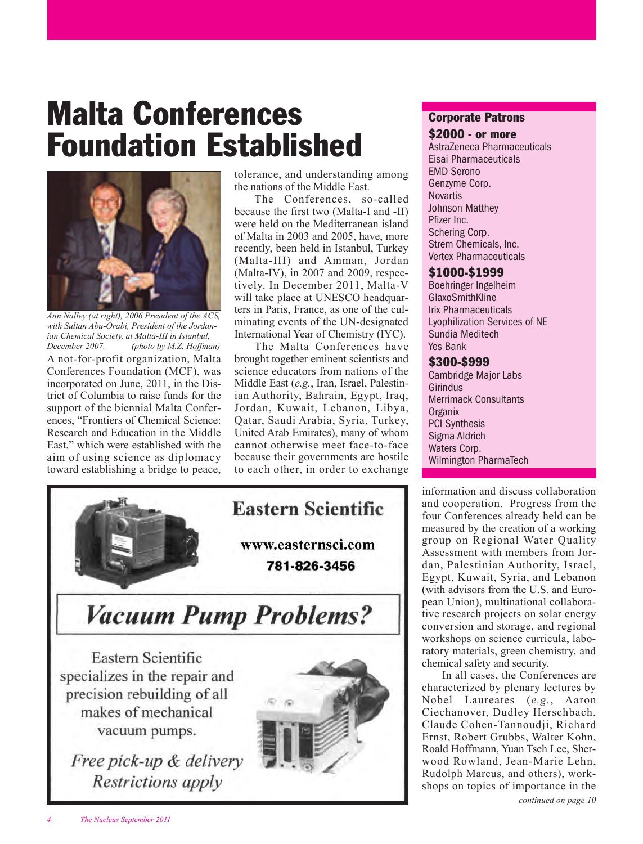## **Malta Conferences Foundation Established**



*Ann Nalley (at right), 2006 President of the ACS, with Sultan Abu-Orabi, President of the Jordanian Chemical Society, at Malta-III in Istanbul, (photo by M.Z. Hoffman)* 

A not-for-profit organization, Malta Conferences Foundation (MCF), was incorporated on June, 2011, in the District of Columbia to raise funds for the support of the biennial Malta Conferences, "Frontiers of Chemical Science: Research and Education in the Middle East," which were established with the aim of using science as diplomacy toward establishing a bridge to peace, tolerance, and understanding among the nations of the Middle East.

The Conferences, so-called because the first two (Malta-I and -II) were held on the Mediterranean island of Malta in 2003 and 2005, have, more recently, been held in Istanbul, Turkey (Malta-III) and Amman, Jordan (Malta-IV), in 2007 and 2009, respectively. In December 2011, Malta-V will take place at UNESCO headquarters in Paris, France, as one of the culminating events of the UN-designated International Year of Chemistry (IYC).

The Malta Conferences have brought together eminent scientists and science educators from nations of the Middle East (*e.g.*, Iran, Israel, Palestinian Authority, Bahrain, Egypt, Iraq, Jordan, Kuwait, Lebanon, Libya, Qatar, Saudi Arabia, Syria, Turkey, United Arab Emirates), many of whom cannot otherwise meet face-to-face because their governments are hostile to each other, in order to exchange



## **Corporate Patrons**

### **\$2000 - or more**

AstraZeneca Pharmaceuticals Eisai Pharmaceuticals EMD Serono Genzyme Corp. **Novartis** Johnson Matthey Pfizer Inc. Schering Corp. Strem Chemicals, Inc. Vertex Pharmaceuticals

### **\$1000-\$1999**

Boehringer Ingelheim GlaxoSmithKline Irix Pharmaceuticals Lyophilization Services of NE Sundia Meditech Yes Bank

## **\$300-\$999**

Cambridge Major Labs Girindus Merrimack Consultants **Organix** PCI Synthesis Sigma Aldrich Waters Corp. Wilmington PharmaTech

information and discuss collaboration and cooperation. Progress from the four Conferences already held can be measured by the creation of a working group on Regional Water Quality Assessment with members from Jordan, Palestinian Authority, Israel, Egypt, Kuwait, Syria, and Lebanon (with advisors from the U.S. and European Union), multinational collaborative research projects on solar energy conversion and storage, and regional workshops on science curricula, laboratory materials, green chemistry, and chemical safety and security.

In all cases, the Conferences are characterized by plenary lectures by Nobel Laureates (*e.g.*, Aaron Ciechanover, Dudley Herschbach, Claude Cohen-Tannoudji, Richard Ernst, Robert Grubbs, Walter Kohn, Roald Hoffmann, Yuan Tseh Lee, Sherwood Rowland, Jean-Marie Lehn, Rudolph Marcus, and others), workshops on topics of importance in the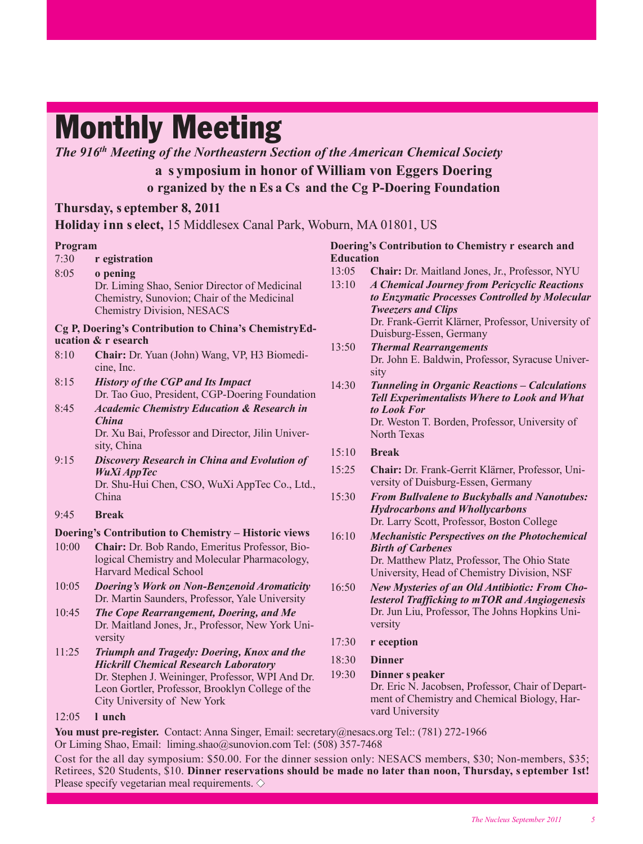## **Monthly Meeting**

*The 916th Meeting of the Northeastern Section of the American Chemical Society*

## **a s ymposium in honor of William von Eggers Doering o rganized by the n Es a Cs and the Cg P-Doering Foundation**

## **Thursday, s eptember 8, 2011**

**Holiday inn s elect,** 15 Middlesex Canal Park, Woburn, MA 01801, US

## **Program**

- 7:30 **r egistration**
- 8:05 **o pening**  Dr. Liming Shao, Senior Director of Medicinal Chemistry, Sunovion; Chair of the Medicinal Chemistry Division, NESACS

### **Cg P, Doering's Contribution to China's ChemistryEducation & r esearch**

- 8:10 **Chair:** Dr. Yuan (John) Wang, VP, H3 Biomedicine, Inc.
- 8:15 *History of the CGP and Its Impact* Dr. Tao Guo, President, CGP-Doering Foundation
- 8:45 *Academic Chemistry Education & Research in China*  Dr. Xu Bai, Professor and Director, Jilin University, China
- 9:15 *Discovery Research in China and Evolution of WuXi AppTec* Dr. Shu-Hui Chen, CSO, WuXi AppTec Co., Ltd., China

### 9:45 **Break**

## **Doering's Contribution to Chemistry – Historic views**

- 10:00 **Chair:** Dr. Bob Rando, Emeritus Professor, Biological Chemistry and Molecular Pharmacology, Harvard Medical School
- 10:05 *Doering's Work on Non-Benzenoid Aromaticity* Dr. Martin Saunders, Professor, Yale University
- 10:45 *The Cope Rearrangement, Doering, and Me* Dr. Maitland Jones, Jr., Professor, New York University
- 11:25 *Triumph and Tragedy: Doering, Knox and the Hickrill Chemical Research Laboratory*  Dr. Stephen J. Weininger, Professor, WPI And Dr. Leon Gortler, Professor, Brooklyn College of the City University of New York

### **Doering's Contribution to Chemistry r esearch and Education**

- 13:05 **Chair:** Dr. Maitland Jones, Jr., Professor, NYU
- 13:10 *A Chemical Journey from Pericyclic Reactions to Enzymatic Processes Controlled by Molecular Tweezers and Clips*  Dr. Frank-Gerrit Klärner, Professor, University of Duisburg-Essen, Germany
- 13:50 *Thermal Rearrangements* Dr. John E. Baldwin, Professor, Syracuse University
- 14:30 *Tunneling in Organic Reactions* **–** *Calculations Tell Experimentalists Where to Look and What to Look For* Dr. Weston T. Borden, Professor, University of North Texas
- 15:10 **Break**
- 15:25 **Chair:** Dr. Frank-Gerrit Klärner, Professor, University of Duisburg-Essen, Germany
- 15:30 *From Bullvalene to Buckyballs and Nanotubes: Hydrocarbons and Whollycarbons* Dr. Larry Scott, Professor, Boston College
- 16:10 *Mechanistic Perspectives on the Photochemical Birth of Carbenes* Dr. Matthew Platz, Professor, The Ohio State University, Head of Chemistry Division, NSF
- 16:50 *New Mysteries of an Old Antibiotic: From Cholesterol Trafficking to mTOR and Angiogenesis* Dr. Jun Liu, Professor, The Johns Hopkins University
- 17:30 **r eception**
- 18:30 **Dinner**
- 19:30 **Dinner s peaker**  Dr. Eric N. Jacobsen, Professor, Chair of Department of Chemistry and Chemical Biology, Harvard University

12:05 **l unch** 

**You must pre-register.** Contact: Anna Singer, Email: secretary@nesacs.org Tel:: (781) 272-1966 Or Liming Shao, Email: liming.shao@sunovion.com Tel: (508) 357-7468

Cost for the all day symposium: \$50.00. For the dinner session only: NESACS members, \$30; Non-members, \$35; Retirees, \$20 Students, \$10. **Dinner reservations should be made no later than noon, Thursday, s eptember 1st!** Please specify vegetarian meal requirements.  $\diamond$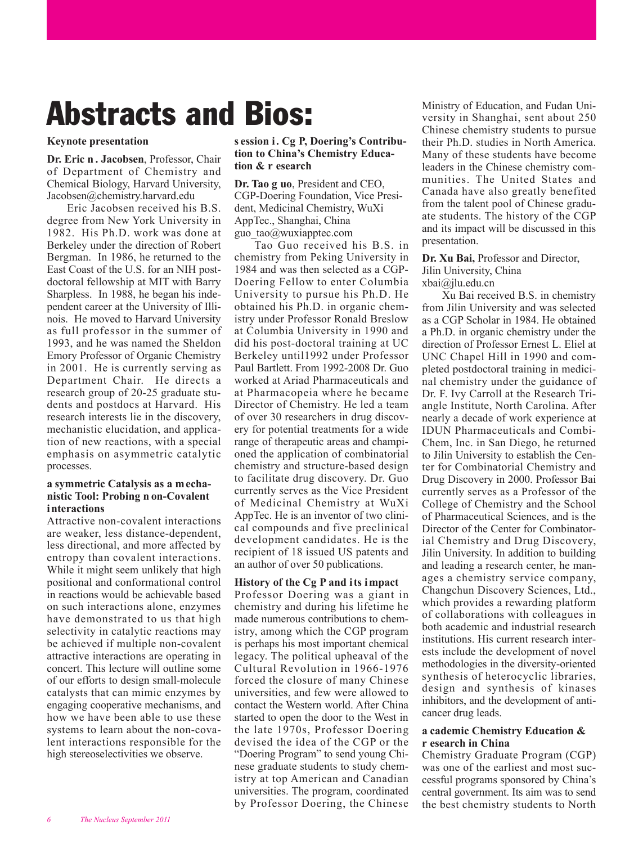## **Abstracts and Bios:**

#### **Keynote presentation**

**Dr. Eric n . Jacobsen**, Professor, Chair of Department of Chemistry and Chemical Biology, Harvard University, Jacobsen@chemistry.harvard.edu

Eric Jacobsen received his B.S. degree from New York University in 1982. His Ph.D. work was done at Berkeley under the direction of Robert Bergman. In 1986, he returned to the East Coast of the U.S. for an NIH postdoctoral fellowship at MIT with Barry Sharpless. In 1988, he began his independent career at the University of Illinois. He moved to Harvard University as full professor in the summer of 1993, and he was named the Sheldon Emory Professor of Organic Chemistry in 2001. He is currently serving as Department Chair. He directs a research group of 20-25 graduate students and postdocs at Harvard. His research interests lie in the discovery, mechanistic elucidation, and application of new reactions, with a special emphasis on asymmetric catalytic processes.

#### **a symmetric Catalysis as a mechanistic Tool: Probing n on-Covalent interactions**

Attractive non-covalent interactions are weaker, less distance-dependent, less directional, and more affected by entropy than covalent interactions. While it might seem unlikely that high positional and conformational control in reactions would be achievable based on such interactions alone, enzymes have demonstrated to us that high selectivity in catalytic reactions may be achieved if multiple non-covalent attractive interactions are operating in concert. This lecture will outline some of our efforts to design small-molecule catalysts that can mimic enzymes by engaging cooperative mechanisms, and how we have been able to use these systems to learn about the non-covalent interactions responsible for the high stereoselectivities we observe.

### **s ession i. Cg P, Doering's Contribution to China's Chemistry Education & r esearch**

**Dr. Tao g uo**, President and CEO, CGP-Doering Foundation, Vice President, Medicinal Chemistry, WuXi AppTec., Shanghai, China guo\_tao@wuxiapptec.com

Tao Guo received his B.S. in chemistry from Peking University in 1984 and was then selected as a CGP-Doering Fellow to enter Columbia University to pursue his Ph.D. He obtained his Ph.D. in organic chemistry under Professor Ronald Breslow at Columbia University in 1990 and did his post-doctoral training at UC Berkeley until1992 under Professor Paul Bartlett. From 1992-2008 Dr. Guo worked at Ariad Pharmaceuticals and at Pharmacopeia where he became Director of Chemistry. He led a team of over 30 researchers in drug discovery for potential treatments for a wide range of therapeutic areas and championed the application of combinatorial chemistry and structure-based design to facilitate drug discovery. Dr. Guo currently serves as the Vice President of Medicinal Chemistry at WuXi AppTec. He is an inventor of two clinical compounds and five preclinical development candidates. He is the recipient of 18 issued US patents and an author of over 50 publications.

### **History of the Cg P and its impact**

Professor Doering was a giant in chemistry and during his lifetime he made numerous contributions to chemistry, among which the CGP program is perhaps his most important chemical legacy. The political upheaval of the Cultural Revolution in 1966-1976 forced the closure of many Chinese universities, and few were allowed to contact the Western world. After China started to open the door to the West in the late 1970s, Professor Doering devised the idea of the CGP or the "Doering Program" to send young Chinese graduate students to study chemistry at top American and Canadian universities. The program, coordinated by Professor Doering, the Chinese

Ministry of Education, and Fudan University in Shanghai, sent about 250 Chinese chemistry students to pursue their Ph.D. studies in North America. Many of these students have become leaders in the Chinese chemistry communities. The United States and Canada have also greatly benefited from the talent pool of Chinese graduate students. The history of the CGP and its impact will be discussed in this presentation.

#### **Dr. Xu Bai,** Professor and Director, Jilin University, China xbai@jlu.edu.cn

Xu Bai received B.S. in chemistry from Jilin University and was selected as a CGP Scholar in 1984. He obtained a Ph.D. in organic chemistry under the direction of Professor Ernest L. Eliel at UNC Chapel Hill in 1990 and completed postdoctoral training in medicinal chemistry under the guidance of Dr. F. Ivy Carroll at the Research Triangle Institute, North Carolina. After nearly a decade of work experience at IDUN Pharmaceuticals and Combi - Chem, Inc. in San Diego, he returned to Jilin University to establish the Center for Combinatorial Chemistry and Drug Discovery in 2000. Professor Bai currently serves as a Professor of the College of Chemistry and the School of Pharmaceutical Sciences, and is the Director of the Center for Combinatorial Chemistry and Drug Discovery, Jilin University. In addition to building and leading a research center, he manages a chemistry service company, Changchun Discovery Sciences, Ltd., which provides a rewarding platform of collaborations with colleagues in both academic and industrial research institutions. His current research interests include the development of novel methodologies in the diversity-oriented synthesis of heterocyclic libraries, design and synthesis of kinases inhibitors, and the development of anticancer drug leads.

### **a cademic Chemistry Education & r esearch in China**

Chemistry Graduate Program (CGP) was one of the earliest and most successful programs sponsored by China's central government. Its aim was to send the best chemistry students to North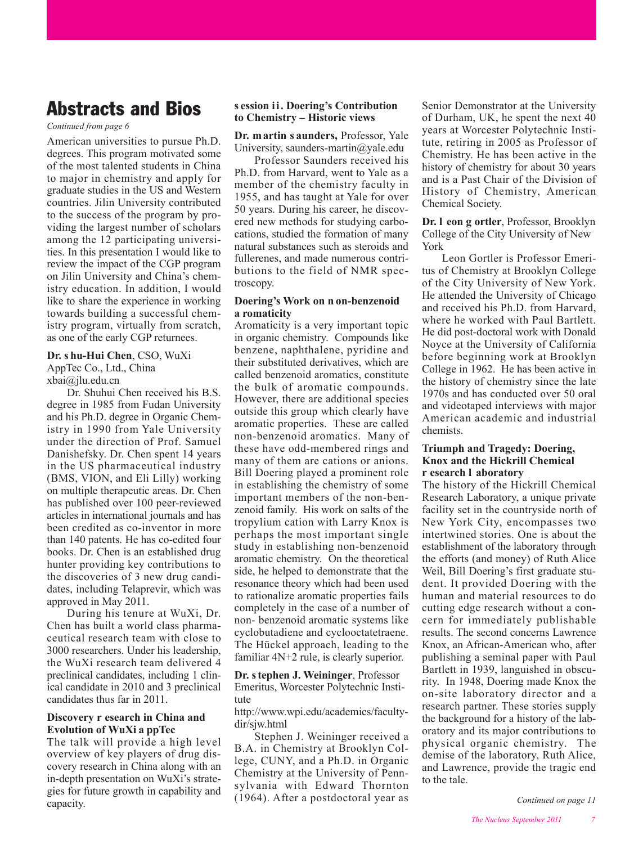## **Abstracts and Bios**

*Continued from page 6*

American universities to pursue Ph.D. degrees. This program motivated some of the most talented students in China to major in chemistry and apply for graduate studies in the US and Western countries. Jilin University contributed to the success of the program by providing the largest number of scholars among the 12 participating universities. In this presentation I would like to review the impact of the CGP program on Jilin University and China's chemistry education. In addition, I would like to share the experience in working towards building a successful chemistry program, virtually from scratch, as one of the early CGP returnees.

## **Dr. s hu-Hui Chen**, CSO, WuXi AppTec Co., Ltd., China

xbai@jlu.edu.cn

Dr. Shuhui Chen received his B.S. degree in 1985 from Fudan University and his Ph.D. degree in Organic Chem istry in 1990 from Yale University under the direction of Prof. Samuel Danishefsky. Dr. Chen spent 14 years in the US pharmaceutical industry (BMS, VION, and Eli Lilly) working on multiple therapeutic areas. Dr. Chen has published over 100 peer-reviewed articles in international journals and has been credited as co-inventor in more than 140 patents. He has co-edited four books. Dr. Chen is an established drug hunter providing key contributions to the discoveries of 3 new drug candidates, including Telaprevir, which was approved in May 2011.

During his tenure at WuXi, Dr. Chen has built a world class pharmaceutical research team with close to 3000 researchers. Under his leadership, the WuXi research team delivered 4 preclinical candidates, including 1 clinical candidate in 2010 and 3 preclinical candidates thus far in 2011.

#### **Discovery r esearch in China and Evolution of WuXi a ppTec**

The talk will provide a high level overview of key players of drug discovery research in China along with an in-depth presentation on WuXi's strategies for future growth in capability and capacity.

### **s ession ii. Doering's Contribution to Chemistry – Historic views**

**Dr. martin s aunders,** Professor, Yale University, saunders-martin@yale.edu

Professor Saunders received his Ph.D. from Harvard, went to Yale as a member of the chemistry faculty in 1955, and has taught at Yale for over 50 years. During his career, he discovered new methods for studying carbocations, studied the formation of many natural substances such as steroids and fullerenes, and made numerous contributions to the field of NMR spectroscopy.

#### **Doering's Work on n on-benzenoid a romaticity**

Aromaticity is a very important topic in organic chemistry. Compounds like benzene, naphthalene, pyridine and their substituted derivatives, which are called benzenoid aromatics, constitute the bulk of aromatic compounds. However, there are additional species outside this group which clearly have aromatic properties. These are called non-benzenoid aromatics. Many of these have odd-membered rings and many of them are cations or anions. Bill Doering played a prominent role in establishing the chemistry of some important members of the non-benzenoid family. His work on salts of the tropylium cation with Larry Knox is perhaps the most important single study in establishing non-benzenoid aromatic chemistry. On the theoretical side, he helped to demonstrate that the resonance theory which had been used to rationalize aromatic properties fails completely in the case of a number of non- benzenoid aromatic systems like cyclobutadiene and cyclooctatetraene. The Hückel approach, leading to the familiar 4N+2 rule, is clearly superior.

**Dr. s tephen J. Weininger**, Professor Emeritus, Worcester Polytechnic Institute

http://www.wpi.edu/academics/facultydir/sjw.html

Stephen J. Weininger received a B.A. in Chemistry at Brooklyn College, CUNY, and a Ph.D. in Organic Chemistry at the University of Pennsylvania with Edward Thornton (1964). After a postdoctoral year as

Senior Demonstrator at the University of Durham, UK, he spent the next 40 years at Worcester Polytechnic Institute, retiring in 2005 as Professor of Chemistry. He has been active in the history of chemistry for about 30 years and is a Past Chair of the Division of History of Chemistry, American Chemical Society.

**Dr. l eon g ortler**, Professor, Brooklyn College of the City University of New York

Leon Gortler is Professor Emeritus of Chemistry at Brooklyn College of the City University of New York. He attended the University of Chicago and received his Ph.D. from Harvard, where he worked with Paul Bartlett. He did post-doctoral work with Donald Noyce at the University of California before beginning work at Brooklyn College in 1962. He has been active in the history of chemistry since the late 1970s and has conducted over 50 oral and videotaped interviews with major American academic and industrial chemists.

#### **Triumph and Tragedy: Doering, Knox and the Hickrill Chemical r esearch l aboratory**

The history of the Hickrill Chemical Research Laboratory, a unique private facility set in the countryside north of New York City, encompasses two intertwined stories. One is about the establishment of the laboratory through the efforts (and money) of Ruth Alice Weil, Bill Doering's first graduate student. It provided Doering with the human and material resources to do cutting edge research without a concern for immediately publishable results. The second concerns Lawrence Knox, an African-American who, after publishing a seminal paper with Paul Bartlett in 1939, languished in obscurity. In 1948, Doering made Knox the on-site laboratory director and a research partner. These stories supply the background for a history of the laboratory and its major contributions to physical organic chemistry. The demise of the laboratory, Ruth Alice, and Lawrence, provide the tragic end to the tale.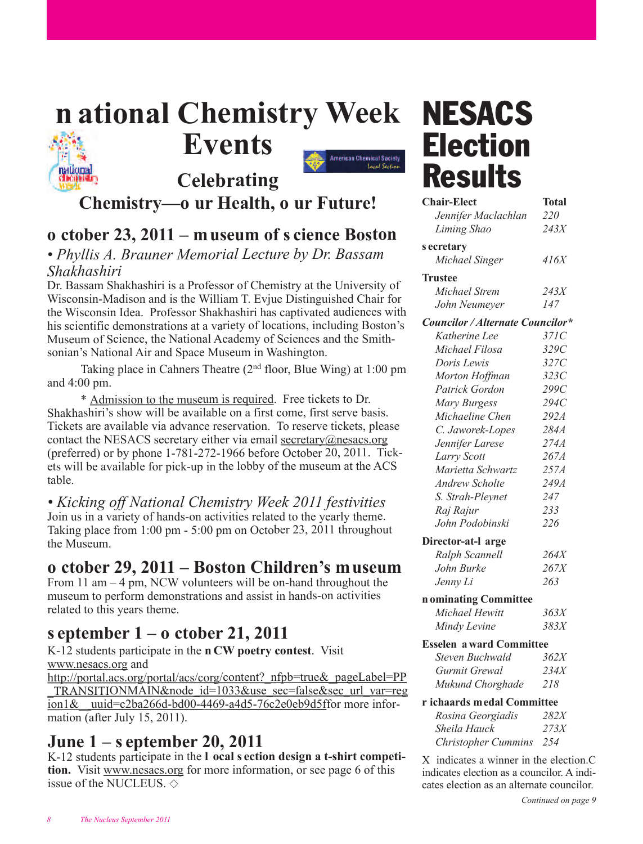## **<sup>n</sup> ational Chemistry Week NESACS Events**



## maticmal **Celebrating Chemistry—o ur Health, o ur Future!**

## **<sup>o</sup> ctober 23, 2011 – museum of s cience Boston**

## *• Phyllis A. Brauner Memorial Lecture by Dr. Bassam Shakhashiri*

Dr. Bassam Shakhashiri is a Professor of Chemistry at the University of Wisconsin-Madison and is the William T. Evjue Distinguished Chair for the Wisconsin Idea. Professor Shakhashiri has captivated audiences with his scientific demonstrations at a variety of locations, including Boston's Museum of Science, the National Academy of Sciences and the Smithsonian's National Air and Space Museum in Washington.

Taking place in Cahners Theatre  $(2<sup>nd</sup>$  floor, Blue Wing) at 1:00 pm and 4:00 pm.

\* Admission to the museum is required. Free tickets to Dr. Shakhashiri's show will be available on a first come, first serve basis. Tickets are available via advance reservation. To reserve tickets, please contact the NESACS secretary either via email secretary $@$ nesacs.org (preferred) or by phone 1-781-272-1966 before October 20, 2011. Tickets will be available for pick-up in the lobby of the museum at the ACS table.

*• Kicking off National Chemistry Week 2011 festivities* Join us in a variety of hands-on activities related to the yearly theme. Taking place from 1:00 pm - 5:00 pm on October 23, 2011 throughout the Museum.

## **<sup>o</sup> ctober 29, 2011 – Boston Children's museum**

From 11 am – 4 pm, NCW volunteers will be on-hand throughout the museum to perform demonstrations and assist in hands-on activities related to this years theme.

## **<sup>s</sup> eptember 1 – o ctober 21, 2011**

K-12 students participate in the **<sup>n</sup> CW poetry contest**. Visit www.nesacs.org and

[http://portal.acs.org/portal/acs/corg/content?\\_nfpb=true&\\_pageLabel=PP](http://portal.acs.org/portal/acs/corg/content?_nfpb=true&_pageLabel=PP_TRANSITIONMAIN&node_id=1033&use_sec=false&sec_url_var=region1&_uuid=c2ba266d-bd00-4469-a4d5-76c2eb9d5f) TRANSITIONMAIN&node\_id=1033&use\_sec=false&sec\_url\_var=reg ion1&\_uuid=c2ba266d-bd00-4469-a4d5-76c2e0eb9d5ffor more information (after July 15, 2011).

## **June 1 – s eptember 20, 2011**

K-12 students participate in the **l ocal s ection design a t-shirt competition.** Visit www.nesacs.org for more information, or see page 6 of this issue of the NUCLEUS.  $\diamond$ 

# **Election Results**

| <b>Chair-Elect</b>               | <b>Total</b> |  |  |
|----------------------------------|--------------|--|--|
| Jennifer Maclachlan              | 220          |  |  |
| Liming Shao                      | 243X         |  |  |
| s ecretary                       |              |  |  |
| Michael Singer                   | 416X         |  |  |
| <b>Trustee</b>                   |              |  |  |
| Michael Strem                    | 243X         |  |  |
| John Neumeyer                    | 147          |  |  |
| Councilor / Alternate Councilor* |              |  |  |
| Katherine Lee                    | 371C         |  |  |
| Michael Filosa                   | 329C         |  |  |
| Doris Lewis                      | 327C         |  |  |
| Morton Hoffman                   | 323C         |  |  |
| Patrick Gordon                   | 299C         |  |  |
| Mary Burgess                     | 294C         |  |  |
| Michaeline Chen                  | 292A         |  |  |
| C. Jaworek-Lopes                 | 284A         |  |  |
| Jennifer Larese                  | 274A         |  |  |
| Larry Scott                      | 267A         |  |  |
| Marietta Schwartz                | 257A         |  |  |
| <b>Andrew Scholte</b>            | 249A         |  |  |
| S. Strah-Pleynet                 | 247          |  |  |
| Raj Rajur                        | 233          |  |  |
| John Podobinski                  | 226          |  |  |
| Director-at-l arge               |              |  |  |
| Ralph Scannell                   | 264X         |  |  |
| John Burke                       | 267X         |  |  |
| Jenny Li                         | 263          |  |  |
| n ominating Committee            |              |  |  |
| Michael Hewitt                   | 363X         |  |  |
| Mindy Levine                     | 383X         |  |  |
| <b>Esselen a ward Committee</b>  |              |  |  |
| Steven Buchwald                  | 362X         |  |  |
| Gurmit Grewal                    | 234X         |  |  |
| Mukund Chorghade                 | 218          |  |  |
| r ichaards medal Committee       |              |  |  |
| Rosina Georgiadis                | <i>282X</i>  |  |  |
| Sheila Hauck                     | 273X         |  |  |
| Christopher Cummins              | 254          |  |  |
|                                  |              |  |  |

X indicates a winner in the election.C indicates election as a councilor. A indicates election as an alternate councilor.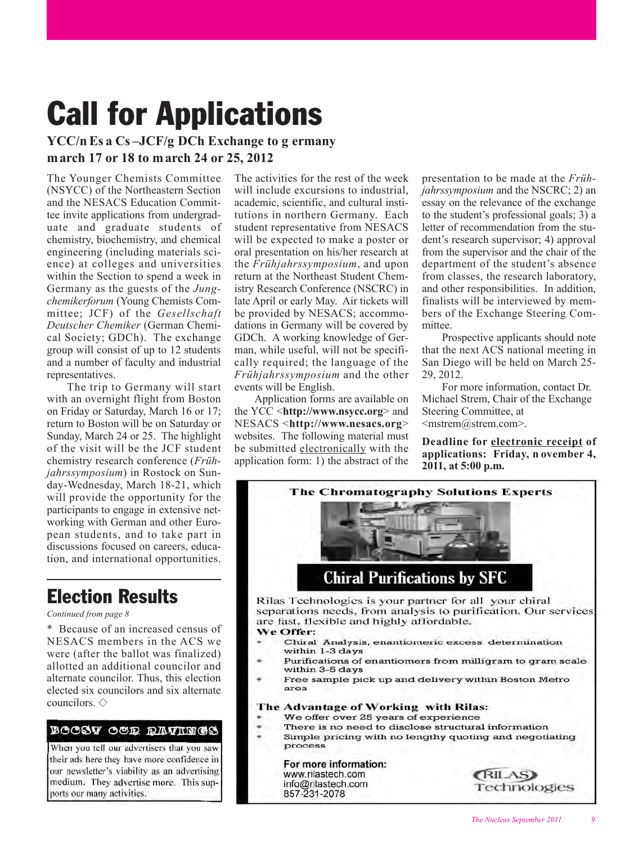## **Call for Applications**

## **YCC/n Es a Cs –JCF/g DCh Exchange to g ermany march 17 or 18 to march 24 or 25, 2012**

The Younger Chemists Committee (NSYCC) of the Northeastern Section and the NESACS Education Committee invite applications from undergraduate and graduate students of chemistry, biochemistry, and chemical engineering (including materials science) at colleges and universities within the Section to spend a week in Germany as the guests of the *Jungchemikerforum* (Young Chemists Committee; JCF) of the *Gesellschaft Deutscher Chemiker* (German Chemical Society; GDCh). The exchange group will consist of up to 12 students and a number of faculty and industrial representatives.

The trip to Germany will start with an overnight flight from Boston on Friday or Saturday, March 16 or 17; return to Boston will be on Saturday or Sunday, March 24 or 25. The highlight of the visit will be the JCF student chemistry research conference (*Frühjahrssymposium*) in Rostock on Sunday-Wednesday, March 18-21, which will provide the opportunity for the participants to engage in extensive networking with German and other European students, and to take part in discussions focused on careers, education, and international opportunities.

## **Election Results**

#### *Continued from page 8*

Because of an increased census of NESACS members in the ACS we were (after the ballot was finalized) allotted an additional councilor and alternate councilor. Thus, this election elected six councilors and six alternate councilors.  $\diamond$ 

#### Boosv oor ravings

When you tell our advertisers that you saw their ads here they have more confidence in our newsletter's viability as an advertising medium. They advertise more. This supports our many activities.

The activities for the rest of the week will include excursions to industrial, academic, scientific, and cultural institutions in northern Germany. Each student representative from NESACS will be expected to make a poster or oral presentation on his/her research at the *Frühjahrssymposium*, and upon return at the Northeast Student Chemistry Research Conference (NSCRC) in late April or early May. Air tickets will be provided by NESACS; accommodations in Germany will be covered by GDCh. A working knowledge of German, while useful, will not be specifically required; the language of the *Frühjahrssymposium* and the other events will be English.

Application forms are available on the YCC <**http://www.nsycc.org**> and NESACS <**http://www.nesacs.org**> websites. The following material must be submitted electronically with the application form: 1) the abstract of the

presentation to be made at the *Frühjahrssymposium* and the NSCRC; 2) an essay on the relevance of the exchange to the student's professional goals; 3) a letter of recommendation from the student's research supervisor; 4) approval from the supervisor and the chair of the department of the student's absence from classes, the research laboratory, and other responsibilities. In addition, finalists will be interviewed by members of the Exchange Steering Committee.

Prospective applicants should note that the next ACS national meeting in San Diego will be held on March 25- 29, 2012.

For more information, contact Dr. Michael Strem, Chair of the Exchange Steering Committee, at <mstrem@strem.com>.

**Deadline for electronic receipt of applications: Friday, n ovember 4, 2011, at 5:00 p.m.**

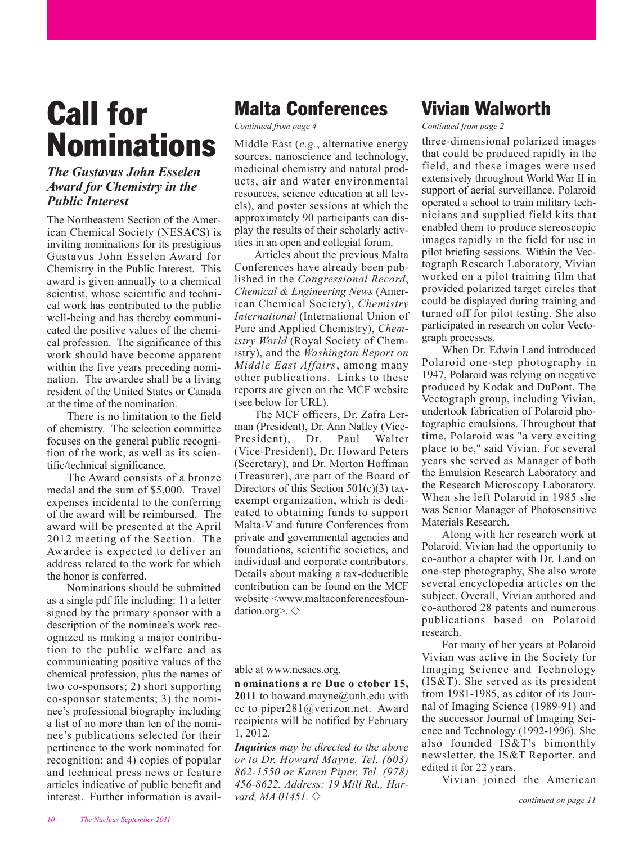## **Call for Nominations**

## *The Gustavus John Esselen Award for Chemistry in the Public Interest*

The Northeastern Section of the American Chemical Society (NESACS) is inviting nominations for its prestigious Gustavus John Esselen Award for Chemistry in the Public Interest. This award is given annually to a chemical scientist, whose scientific and technical work has contributed to the public well-being and has thereby communicated the positive values of the chemical profession. The significance of this work should have become apparent within the five years preceding nomination. The awardee shall be a living resident of the United States or Canada at the time of the nomination.

There is no limitation to the field of chemistry. The selection committee focuses on the general public recognition of the work, as well as its scientific/technical significance.

The Award consists of a bronze medal and the sum of \$5,000. Travel expenses incidental to the conferring of the award will be reimbursed. The award will be presented at the April 2012 meeting of the Section. The Awardee is expected to deliver an address related to the work for which the honor is conferred.

Nominations should be submitted as a single pdf file including: 1) a letter signed by the primary sponsor with a description of the nominee's work recognized as making a major contribution to the public welfare and as communicating positive values of the chemical profession, plus the names of two co-sponsors; 2) short supporting co-sponsor statements; 3) the nominee's professional biography including a list of no more than ten of the nominee's publications selected for their pertinence to the work nominated for recognition; and 4) copies of popular and technical press news or feature articles indicative of public benefit and interest. Further information is avail-

## **Malta Conferences**

*Continued from page 4*

Middle East (*e.g.*, alternative energy sources, nanoscience and technology, medicinal chemistry and natural products, air and water environmental resources, science education at all levels), and poster sessions at which the approximately 90 participants can display the results of their scholarly activities in an open and collegial forum.

Articles about the previous Malta Conferences have already been published in the *Congressional Record*, *Chemical & Engineering News* (American Chemical Society), *Chemistry International* (International Union of Pure and Applied Chemistry), *Chemistry World* (Royal Society of Chemistry), and the *Washington Report on Middle East Affairs*, among many other publications. Links to these reports are given on the MCF website (see below for URL).

The MCF officers, Dr. Zafra Lerman (President), Dr. Ann Nalley (Vice-President), Dr. Paul Walter (Vice-President), Dr. Howard Peters (Secretary), and Dr. Morton Hoffman (Treasurer), are part of the Board of Directors of this Section  $501(c)(3)$  taxexempt organization, which is dedicated to obtaining funds to support Malta-V and future Conferences from private and governmental agencies and foundations, scientific societies, and individual and corporate contributors. Details about making a tax-deductible contribution can be found on the MCF website <www.maltaconferencesfoundation.org>.  $\diamondsuit$ 

able at www.nesacs.org.

*Inquiries may be directed to the above or to Dr. Howard Mayne, Tel. (603) 862-1550 or Karen Piper, Tel. (978) 456-8622. Address: 19 Mill Rd., Harvard, MA 01451.*  $\diamond$ 

## **Vivian Walworth**

*Continued from page 2*

three-dimensional polarized images that could be produced rapidly in the field, and these images were used extensively throughout World War II in support of aerial surveillance. Polaroid operated a school to train military technicians and supplied field kits that enabled them to produce stereoscopic images rapidly in the field for use in pilot briefing sessions. Within the Vectograph Research Laboratory, Vivian worked on a pilot training film that provided polarized target circles that could be displayed during training and turned off for pilot testing. She also participated in research on color Vectograph processes.

When Dr. Edwin Land introduced Polaroid one-step photography in 1947, Polaroid was relying on negative produced by Kodak and DuPont. The Vectograph group, including Vivian, undertook fabrication of Polaroid photographic emulsions. Throughout that time, Polaroid was "a very exciting place to be," said Vivian. For several years she served as Manager of both the Emulsion Research Laboratory and the Research Microscopy Laboratory. When she left Polaroid in 1985 she was Senior Manager of Photosensitive Materials Research.

Along with her research work at Polaroid, Vivian had the opportunity to co-author a chapter with Dr. Land on one-step photography, She also wrote several encyclopedia articles on the subject. Overall, Vivian authored and co- authored 28 patents and numerous publications based on Polaroid research.

For many of her years at Polaroid Vivian was active in the Society for Imaging Science and Technology (IS&T). She served as its president from 1981-1985, as editor of its Journal of Imaging Science (1989-91) and the successor Journal of Imaging Science and Technology (1992-1996). She also founded IS&T's bimonthly newsletter, the IS&T Reporter, and edited it for 22 years.

Vivian joined the American

**n ominations a re Due o ctober 15,** 2011 to howard.mayne@unh.edu with cc to piper281@verizon.net. Award recipients will be notified by February 1, 2012.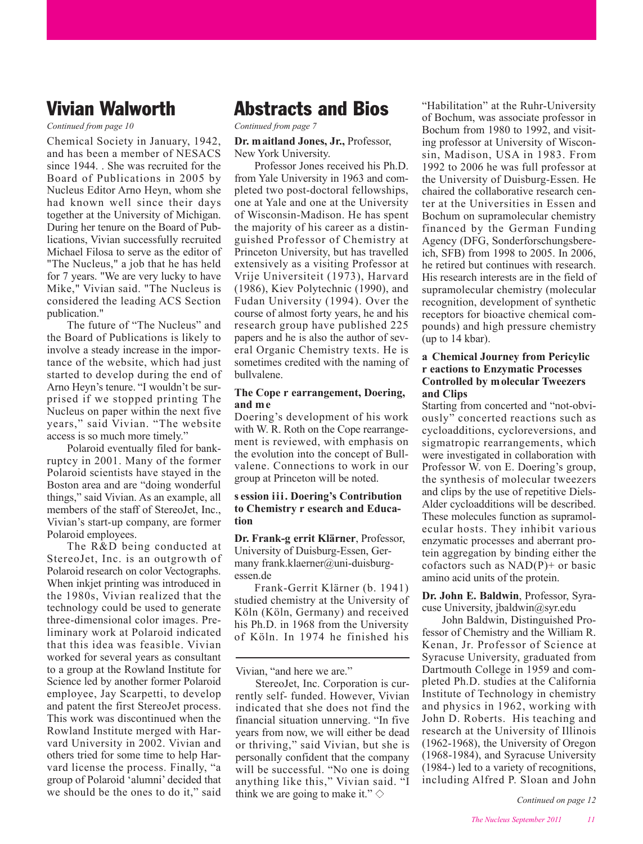## **Vivian Walworth**

*Continued from page 10*

Chemical Society in January, 1942, and has been a member of NESACS since 1944. . She was recruited for the Board of Publications in 2005 by Nucleus Editor Arno Heyn, whom she had known well since their days together at the University of Michigan. During her tenure on the Board of Publications, Vivian successfully recruited Michael Filosa to serve as the editor of "The Nucleus," a job that he has held for 7 years. "We are very lucky to have Mike," Vivian said. "The Nucleus is considered the leading ACS Section publication."

The future of "The Nucleus" and the Board of Publications is likely to involve a steady increase in the importance of the website, which had just started to develop during the end of Arno Heyn's tenure. "I wouldn't be surprised if we stopped printing The Nucleus on paper within the next five years," said Vivian. "The website access is so much more timely."

Polaroid eventually filed for bankruptcy in 2001. Many of the former Polaroid scientists have stayed in the Boston area and are "doing wonderful things," said Vivian. As an example, all members of the staff of StereoJet, Inc., Vivian's start-up company, are former Polaroid employees.

The R&D being conducted at StereoJet, Inc. is an outgrowth of Polaroid research on color Vectographs. When inkjet printing was introduced in the 1980s, Vivian realized that the technology could be used to generate three-dimensional color images. Preliminary work at Polaroid indicated that this idea was feasible. Vivian worked for several years as consultant to a group at the Rowland Institute for Science led by another former Polaroid employee, Jay Scarpetti, to develop and patent the first StereoJet process. This work was discontinued when the Rowland Institute merged with Harvard University in 2002. Vivian and others tried for some time to help Harvard license the process. Finally, "a group of Polaroid 'alumni' decided that we should be the ones to do it," said

## **Abstracts and Bios**

*Continued from page 7*

#### **Dr. maitland Jones, Jr.,** Professor, New York University.

Professor Jones received his Ph.D. from Yale University in 1963 and completed two post-doctoral fellowships, one at Yale and one at the University of Wisconsin-Madison. He has spent the majority of his career as a distinguished Professor of Chemistry at Princeton University, but has travelled extensively as a visiting Professor at Vrije Universiteit (1973), Harvard (1986), Kiev Polytechnic (1990), and Fudan University (1994). Over the course of almost forty years, he and his research group have published 225 papers and he is also the author of several Organic Chemistry texts. He is sometimes credited with the naming of bullvalene.

### **The Cope r earrangement, Doering, and me**

Doering's development of his work with W. R. Roth on the Cope rearrangement is reviewed, with emphasis on the evolution into the concept of Bullvalene. Connections to work in our group at Princeton will be noted.

#### **s ession iii. Doering's Contribution to Chemistry r esearch and Education**

**Dr. Frank-g errit Klärner**, Professor, University of Duisburg-Essen, Germany frank.klaerner@uni-duisburgessen.de

Frank-Gerrit Klärner (b. 1941) studied chemistry at the University of Köln (Köln, Germany) and received his Ph.D. in 1968 from the University of Köln. In 1974 he finished his

StereoJet, Inc. Corporation is currently self- funded. However, Vivian indicated that she does not find the financial situation unnerving. "In five years from now, we will either be dead or thriving," said Vivian, but she is personally confident that the company will be successful. "No one is doing anything like this," Vivian said. "I think we are going to make it."  $\diamond$ 

"Habilitation" at the Ruhr-University of Bochum, was associate professor in Bochum from 1980 to 1992, and visiting professor at University of Wisconsin, Madison, USA in 1983. From 1992 to 2006 he was full professor at the University of Duisburg-Essen. He chaired the collaborative research center at the Universities in Essen and Bochum on supramolecular chemistry financed by the German Funding Agency (DFG, Sonderforschungsbereich, SFB) from 1998 to 2005. In 2006, he retired but continues with research. His research interests are in the field of supramolecular chemistry (molecular recognition, development of synthetic receptors for bioactive chemical compounds) and high pressure chemistry (up to 14 kbar).

### **a Chemical Journey from Pericylic r eactions to Enzymatic Processes Controlled by molecular Tweezers and Clips**

Starting from concerted and "not-obviously" concerted reactions such as cycloadditions, cycloreversions, and sigmatropic rearrangements, which were investigated in collaboration with Professor W. von E. Doering's group, the synthesis of molecular tweezers and clips by the use of repetitive Diels-Alder cycloadditions will be described. These molecules function as supramolecular hosts. They inhibit various enzymatic processes and aberrant protein aggregation by binding either the cofactors such as  $NAD(P)$ + or basic amino acid units of the protein.

**Dr. John E. Baldwin**, Professor, Syracuse University, jbaldwin@syr.edu

John Baldwin, Distinguished Professor of Chemistry and the William R. Kenan, Jr. Professor of Science at Syracuse University, graduated from Dartmouth College in 1959 and completed Ph.D. studies at the California Institute of Technology in chemistry and physics in 1962, working with John D. Roberts. His teaching and research at the University of Illinois (1962-1968), the University of Oregon (1968-1984), and Syracuse University (1984-) led to a variety of recognitions, including Alfred P. Sloan and John

Vivian, "and here we are."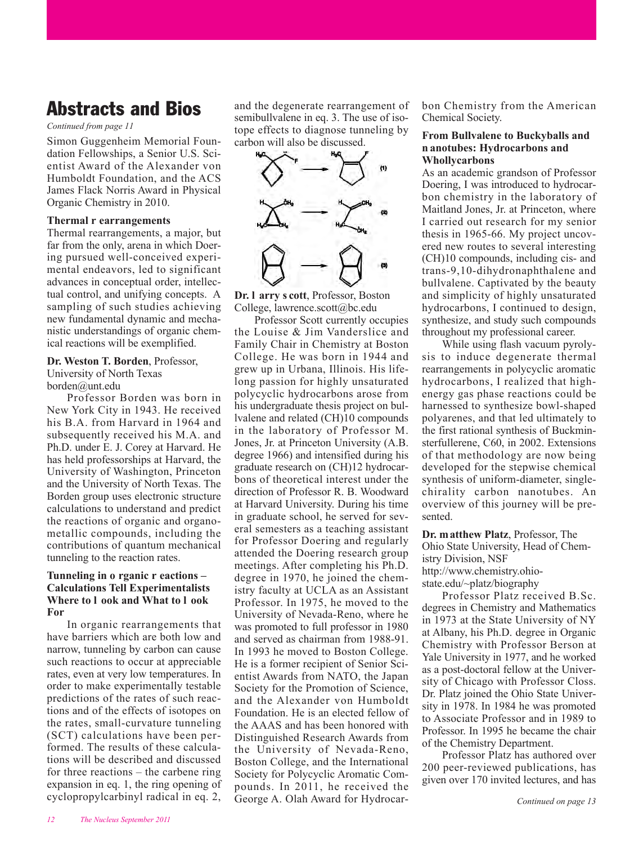## **Abstracts and Bios**

#### *Continued from page 11*

Simon Guggenheim Memorial Foundation Fellowships, a Senior U.S. Scientist Award of the Alexander von Humboldt Foundation, and the ACS James Flack Norris Award in Physical Organic Chemistry in 2010.

#### **Thermal r earrangements**

Thermal rearrangements, a major, but far from the only, arena in which Doering pursued well-conceived experimental endeavors, led to significant advances in conceptual order, intellectual control, and unifying concepts. A sampling of such studies achieving new fundamental dynamic and mechanistic understandings of organic chemical reactions will be exemplified.

**Dr. Weston T. Borden**, Professor, University of North Texas borden@unt.edu

Professor Borden was born in New York City in 1943. He received his B.A. from Harvard in 1964 and subsequently received his M.A. and Ph.D. under E. J. Corey at Harvard. He has held professorships at Harvard, the University of Washington, Princeton and the University of North Texas. The Borden group uses electronic structure calculations to understand and predict the reactions of organic and organometallic compounds, including the contributions of quantum mechanical tunneling to the reaction rates.

#### **Tunneling in o rganic r eactions – Calculations Tell Experimentalists Where to l ook and What to l ook For**

In organic rearrangements that have barriers which are both low and narrow, tunneling by carbon can cause such reactions to occur at appreciable rates, even at very low temperatures. In order to make experimentally testable predictions of the rates of such reactions and of the effects of isotopes on the rates, small-curvature tunneling (SCT) calculations have been performed. The results of these calculations will be described and discussed for three reactions – the carbene ring expansion in eq. 1, the ring opening of cyclopropylcarbinyl radical in eq. 2,

and the degenerate rearrangement of semibullvalene in eq. 3. The use of isotope effects to diagnose tunneling by carbon will also be discussed.



**Dr. l arry s cott**, Professor, Boston College, lawrence.scott@bc.edu

Professor Scott currently occupies the Louise & Jim Vanderslice and Family Chair in Chemistry at Boston College. He was born in 1944 and grew up in Urbana, Illinois. His lifelong passion for highly unsaturated polycyclic hydrocarbons arose from his undergraduate thesis project on bullvalene and related (CH)10 compounds in the laboratory of Professor M. Jones, Jr. at Princeton University (A.B. degree 1966) and intensified during his graduate research on (CH)12 hydrocarbons of theoretical interest under the direction of Professor R. B. Woodward at Harvard University. During his time in graduate school, he served for several semesters as a teaching assistant for Professor Doering and regularly attended the Doering research group meetings. After completing his Ph.D. degree in 1970, he joined the chemistry faculty at UCLA as an Assistant Professor. In 1975, he moved to the University of Nevada-Reno, where he was promoted to full professor in 1980 and served as chairman from 1988-91. In 1993 he moved to Boston College. He is a former recipient of Senior Scientist Awards from NATO, the Japan Society for the Promotion of Science, and the Alexander von Humboldt Foundation. He is an elected fellow of the AAAS and has been honored with Distinguished Research Awards from the University of Nevada-Reno, Boston College, and the International Society for Polycyclic Aromatic Compounds. In 2011, he received the George A. Olah Award for Hydrocarbon Chemistry from the American Chemical Society.

#### **From Bullvalene to Buckyballs and n anotubes: Hydrocarbons and Whollycarbons**

As an academic grandson of Professor Doering, I was introduced to hydrocarbon chemistry in the laboratory of Maitland Jones, Jr. at Princeton, where I carried out research for my senior thesis in 1965-66. My project uncovered new routes to several interesting (CH)10 compounds, including cis- and trans-9,10-dihydronaphthalene and bullvalene. Captivated by the beauty and simplicity of highly unsaturated hydrocarbons, I continued to design, synthesize, and study such compounds throughout my professional career.

While using flash vacuum pyrolysis to induce degenerate thermal rearrangements in polycyclic aromatic hydrocarbons, I realized that highenergy gas phase reactions could be harnessed to synthesize bowl-shaped polyarenes, and that led ultimately to the first rational synthesis of Buckminsterfullerene, C60, in 2002. Extensions of that methodology are now being developed for the stepwise chemical synthesis of uniform-diameter, singlechirality carbon nanotubes. An overview of this journey will be presented.

**Dr. matthew Platz**, Professor, The Ohio State University, Head of Chemistry Division, NSF http://www.chemistry.ohio-

state.edu/~platz/biography

Professor Platz received B.Sc. degrees in Chemistry and Mathematics in 1973 at the State University of NY at Albany, his Ph.D. degree in Organic Chemistry with Professor Berson at Yale University in 1977, and he worked as a post-doctoral fellow at the University of Chicago with Professor Closs. Dr. Platz joined the Ohio State University in 1978. In 1984 he was promoted to Associate Professor and in 1989 to Professor. In 1995 he became the chair of the Chemistry Department.

Professor Platz has authored over 200 peer-reviewed publications, has given over 170 invited lectures, and has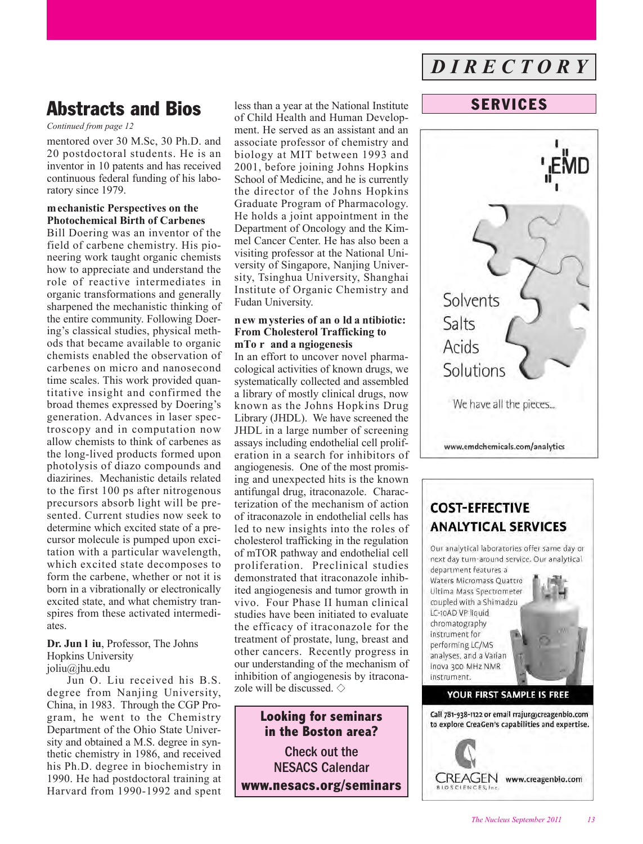## **Abstracts and Bios** less than a year at the National Institute **SERVICES**

#### *Continued from page 12*

mentored over 30 M.Sc, 30 Ph.D. and 20 postdoctoral students. He is an inventor in 10 patents and has received continuous federal funding of his laboratory since 1979.

### **mechanistic Perspectives on the Photochemical Birth of Carbenes**

Bill Doering was an inventor of the field of carbene chemistry. His pioneering work taught organic chemists how to appreciate and understand the role of reactive intermediates in organic transformations and generally sharpened the mechanistic thinking of the entire community. Following Doering's classical studies, physical methods that became available to organic chemists enabled the observation of carbenes on micro and nanosecond time scales. This work provided quantitative insight and confirmed the broad themes expressed by Doering's generation. Advances in laser spectroscopy and in computation now allow chemists to think of carbenes as the long-lived products formed upon photolysis of diazo compounds and diazirines. Mechanistic details related to the first 100 ps after nitrogenous precursors absorb light will be presented. Current studies now seek to determine which excited state of a precursor molecule is pumped upon excitation with a particular wavelength, which excited state decomposes to form the carbene, whether or not it is born in a vibrationally or electronically excited state, and what chemistry transpires from these activated intermediates.

#### **Dr. Jun l iu**, Professor, The Johns Hopkins University joliu@jhu.edu

Jun O. Liu received his B.S. degree from Nanjing University, China, in 1983. Through the CGP Program, he went to the Chemistry Department of the Ohio State University and obtained a M.S. degree in synthetic chemistry in 1986, and received his Ph.D. degree in biochemistry in 1990. He had postdoctoral training at Harvard from 1990-1992 and spent less than a year at the National Institute of Child Health and Human Development. He served as an assistant and an associate professor of chemistry and biology at MIT between 1993 and 2001, before joining Johns Hopkins School of Medicine, and he is currently the director of the Johns Hopkins Graduate Program of Pharmacology. He holds a joint appointment in the Department of Oncology and the Kimmel Cancer Center. He has also been a visiting professor at the National University of Singapore, Nanjing University, Tsinghua University, Shanghai Institute of Organic Chemistry and Fudan University.

#### **n ew mysteries of an o ld a ntibiotic: From Cholesterol Trafficking to mTo r and a ngiogenesis**

In an effort to uncover novel pharmacological activities of known drugs, we systematically collected and assembled a library of mostly clinical drugs, now known as the Johns Hopkins Drug Library (JHDL). We have screened the JHDL in a large number of screening assays including endothelial cell proliferation in a search for inhibitors of angiogenesis. One of the most promising and unexpected hits is the known antifungal drug, itraconazole. Characterization of the mechanism of action of itraconazole in endothelial cells has led to new insights into the roles of cholesterol trafficking in the regulation of mTOR pathway and endothelial cell proliferation. Preclinical studies demonstrated that itraconazole inhibited angiogenesis and tumor growth in vivo. Four Phase II human clinical studies have been initiated to evaluate the efficacy of itraconazole for the treatment of prostate, lung, breast and other cancers. Recently progress in our understanding of the mechanism of inhibition of angiogenesis by itraconazole will be discussed.  $\Diamond$ 

## **Looking for seminars in the Boston area?** Check out the NESACS Calendar **[www.nesacs.org/seminars](http://www.nesacs.org/activities_cal.html)**

## *D I R E C T O R Y*



## **COST-EFFECTIVE ANALYTICAL SERVICES**

Our analytical laboratories offer same day or next day turn-around service. Our analytical department features a

Waters Micromass Quattro Ultima Mass Spectrometer coupled with a Shimadzu LC-10AD VP liquid chromatography Instrument for performing LC/MS analyses, and a Varian Inova 300 MHz NMR instrument.



## YOUR FIRST SAMPLE IS FREE

Call 781-938-1122 or email rrajur@creagenbio.com to explore CreaGen's capabilities and expertise.

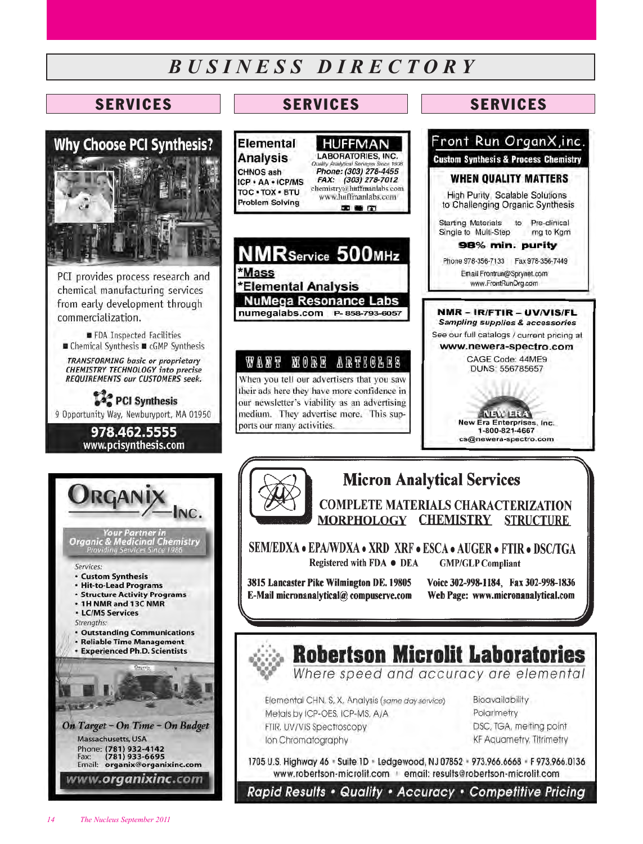## *B U S I N E S S D I R E C T O R Y*



PCI provides process research and chemical manufacturing services from early development through commercialization.

FDA Inspected Facilities ■ Chemical Synthesis ■ cGMP Synthesis

**TRANSFORMING basic or proprietary**<br>CHEMISTRY TECHNOLOGY into precise REQUIREMENTS our CUSTOMERS seek.

**We** PCI Synthesis 9 Opportunity Way, Newburyport, MA 01950

> 978.462.5555 www.pcisynthesis.com

Your Partner in<br>Organic & Medicinal Chemistry<br>Providing Services Since 1986

Services:

· Custom Synthesis

· Hit-to-Lead Programs

• 1H NMR and 13C NMR **· LC/MS Services** Strenaths:

· Structure Activity Programs

**. Outstanding Communications** · Reliable Time Management **\* Experienced Ph.D. Scientists** 

On Target - On Time - On Budget

Email: organix@organixinc.com

www.**organixinc**.com







20 画 (2)

#### N ORF 小眼界只得压屈器 **WANT**

When you tell our advertisers that you saw their ads here they have more confidence in our newsletter's viability as an advertising medium. They advertise more. This supports our many activities.



**Sampling supplies & accessories** See our full catalogs / current pricing at www.newera-spectro.com CAGE Code: 44ME9 DUNS: 556785657

w Era Enterprises, Inc.

1-800-821-4667 cs@newera-spectro.com

## **Micron Analytical Services**

**COMPLETE MATERIALS CHARACTERIZATION MORPHOLOGY CHEMISTRY STRUCTURE** 

SEM/EDXA • EPA/WDXA • XRD XRF • ESCA • AUGER • FTIR • DSC/TGA Registered with FDA ● DEA **GMP/GLP Compliant** 

3815 Lancaster Pike Wilmington DE. 19805 E-Mail micronanalytical@compuserve.com Voice 302-998-1184. Fax 302-998-1836 Web Page: www.micronanalytical.com



## **Robertson Microlit Laboratories**

Where speed and accuracy are elemental

Elemental CHN, S, X, Analysis (same day service) Metals by ICP-OES, ICP-MS, A/A FTIR, UV/VIS Spectroscopy Ion Chromatography

**Bioavailability** Polarimetry DSC, TGA, melting point **KF Aquametry, Titrimetry** 

1705 U.S. Highway 46 . Suite 1D . Ledgewood, NJ 07852 . 973.966.6668 . F 973.966.0136 www.robertson-microlit.com email: results@robertson-microlit.com

Rapid Results • Quality • Accuracy • Competitive Pricing

Massachusetts, USA

Phone: (781) 932-4142<br>Fax: (781) 933-6695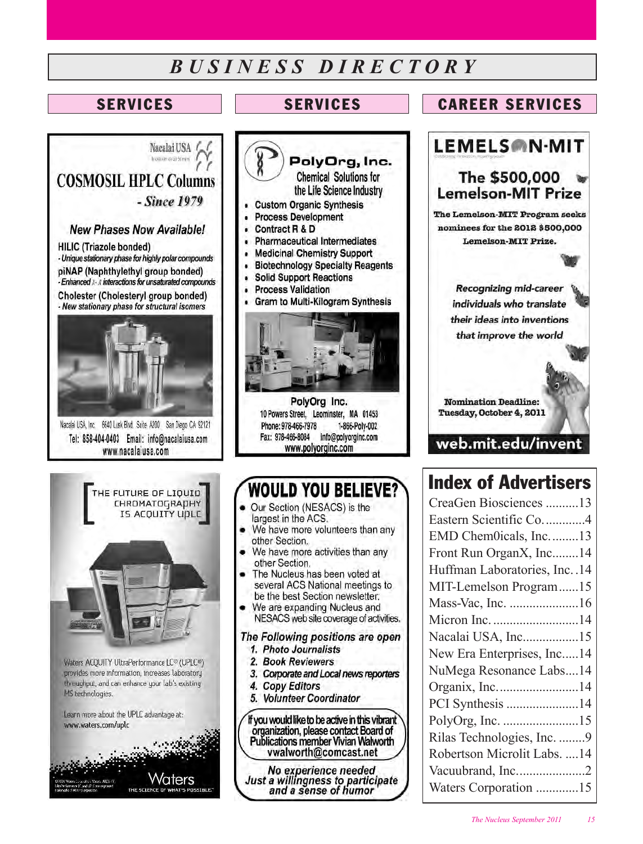## *B U S I N E S S D I R E C T O R Y*

## **SERVICES**

Nacalai USA location of the Source

## **SERVICES CAREER SERVICES**









- Process Development
- Contract R & D
- **Pharmaceutical Intermediates** ä
- **Medicinal Chemistry Support** Ä
- **Biotechnology Specialty Reagents** ä
- **Solid Support Reactions** è
- **Process Validation** ä
- Gram to Multi-Kilogram Synthesis



PolyOrg Inc. 10 Powers Street. Leominster. MA 01453 1-866-Polv-002 Phone: 978-466-7978 Fax: 978-466-8084 info@polvorginc.com www.polyorginc.com

## **WOULD YOU BELIEVE?**

- Our Section (NESACS) is the largest in the ACS.
- We have more volunteers than any other Section.
- We have more activities than any other Section.
- The Nucleus has been voted at several ACS National meetings to be the best Section newsletter.
- We are expanding Nucleus and NESACS web site coverage of activities.

The Following positions are open 1. Photo Journalists

- 
- 2. Book Reviewers
- 3. Corporate and Local news reporters
- 4. Copy Editors
- 5. Volunteer Coordinator

If you would like to be active in this vibrant organization, please contact Board of Publications member Vivian Walworth vwalworth@comcast.net

No experience needed<br>Just a willingness to participate<br>and a sense of humor



## **Index of Advertisers**

| CreaGen Biosciences 13          |
|---------------------------------|
| Eastern Scientific Co4          |
| EMD Chem0icals, Inc13           |
| Front Run OrganX, Inc14         |
| Huffman Laboratories, Inc. . 14 |
| MIT-Lemelson Program15          |
| Mass-Vac, Inc. 16               |
| Micron Inc. 14                  |
| Nacalai USA, Inc15              |
| New Era Enterprises, Inc14      |
| NuMega Resonance Labs14         |
| Organix, Inc14                  |
| PCI Synthesis 14                |
| PolyOrg, Inc. 15                |
| Rilas Technologies, Inc. 9      |
| Robertson Microlit Labs.  14    |
| Vacuubrand, Inc2                |
| Waters Corporation 15           |